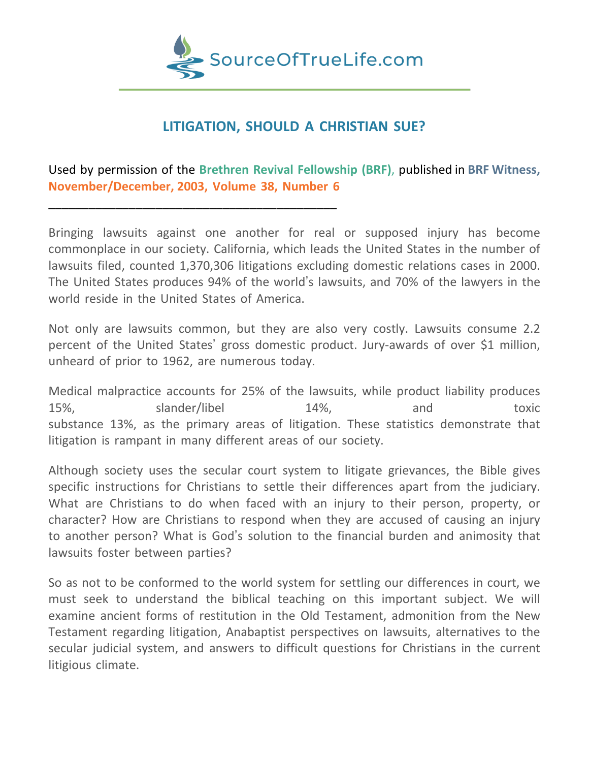

# **LITIGATION, SHOULD A CHRISTIAN SUE?**

Used by permission of the **Brethren Revival Fellowship (BRF)**, published in **BRF Witness, November/December, 2003, Volume 38, Number 6**

\_\_\_\_\_\_\_\_\_\_\_\_\_\_\_\_\_\_\_\_\_\_\_\_\_\_\_\_\_\_\_\_\_\_\_\_\_\_\_\_\_\_\_

Bringing lawsuits against one another for real or supposed injury has become commonplace in our society. California, which leads the United States in the number of lawsuits filed, counted 1,370,306 litigations excluding domestic relations cases in 2000. The United States produces 94% of the world's lawsuits, and 70% of the lawyers in the world reside in the United States of America.

Not only are lawsuits common, but they are also very costly. Lawsuits consume 2.2 percent of the United States' gross domestic product. Jury-awards of over \$1 million, unheard of prior to 1962, are numerous today.

Medical malpractice accounts for 25% of the lawsuits, while product liability produces 15%, slander/libel 14%, and toxic substance 13%, as the primary areas of litigation. These statistics demonstrate that litigation is rampant in many different areas of our society.

Although society uses the secular court system to litigate grievances, the Bible gives specific instructions for Christians to settle their differences apart from the judiciary. What are Christians to do when faced with an injury to their person, property, or character? How are Christians to respond when they are accused of causing an injury to another person? What is God's solution to the financial burden and animosity that lawsuits foster between parties?

So as not to be conformed to the world system for settling our differences in court, we must seek to understand the biblical teaching on this important subject. We will examine ancient forms of restitution in the Old Testament, admonition from the New Testament regarding litigation, Anabaptist perspectives on lawsuits, alternatives to the secular judicial system, and answers to difficult questions for Christians in the current litigious climate.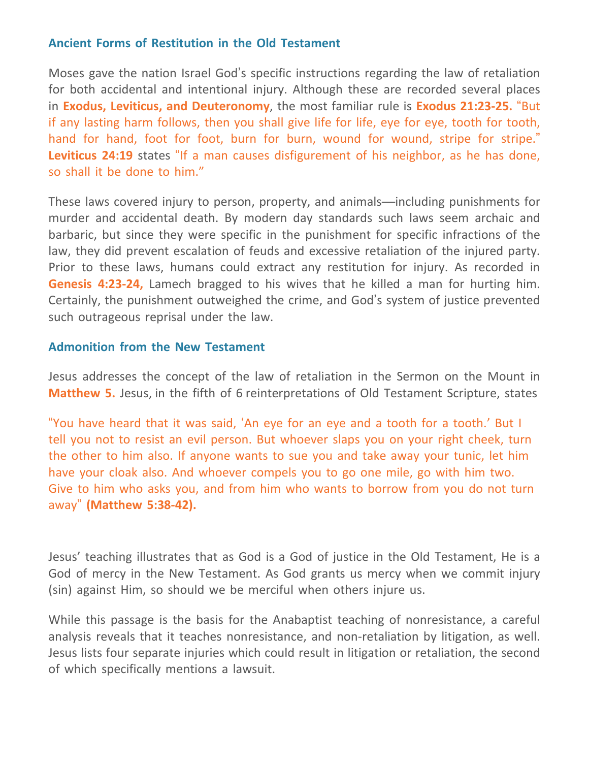### **Ancient Forms of Restitution in the Old Testament**

Moses gave the nation Israel God's specific instructions regarding the law of retaliation for both accidental and intentional injury. Although these are recorded several places in **Exodus, Leviticus, and Deuteronomy**, the most familiar rule is **Exodus 21:23-25.** "But if any lasting harm follows, then you shall give life for life, eye for eye, tooth for tooth, hand for hand, foot for foot, burn for burn, wound for wound, stripe for stripe." **Leviticus 24:19** states "If a man causes disfigurement of his neighbor, as he has done, so shall it be done to him."

These laws covered injury to person, property, and animals—including punishments for murder and accidental death. By modern day standards such laws seem archaic and barbaric, but since they were specific in the punishment for specific infractions of the law, they did prevent escalation of feuds and excessive retaliation of the injured party. Prior to these laws, humans could extract any restitution for injury. As recorded in **Genesis 4:23-24,** Lamech bragged to his wives that he killed a man for hurting him. Certainly, the punishment outweighed the crime, and God's system of justice prevented such outrageous reprisal under the law.

#### **Admonition from the New Testament**

Jesus addresses the concept of the law of retaliation in the Sermon on the Mount in **Matthew 5.** Jesus, in the fifth of 6 reinterpretations of Old Testament Scripture, states

"You have heard that it was said, 'An eye for an eye and a tooth for a tooth.' But I tell you not to resist an evil person. But whoever slaps you on your right cheek, turn the other to him also. If anyone wants to sue you and take away your tunic, let him have your cloak also. And whoever compels you to go one mile, go with him two. Give to him who asks you, and from him who wants to borrow from you do not turn away" **(Matthew 5:38-42).**

Jesus' teaching illustrates that as God is a God of justice in the Old Testament, He is a God of mercy in the New Testament. As God grants us mercy when we commit injury (sin) against Him, so should we be merciful when others injure us.

While this passage is the basis for the Anabaptist teaching of nonresistance, a careful analysis reveals that it teaches nonresistance, and non-retaliation by litigation, as well. Jesus lists four separate injuries which could result in litigation or retaliation, the second of which specifically mentions a lawsuit.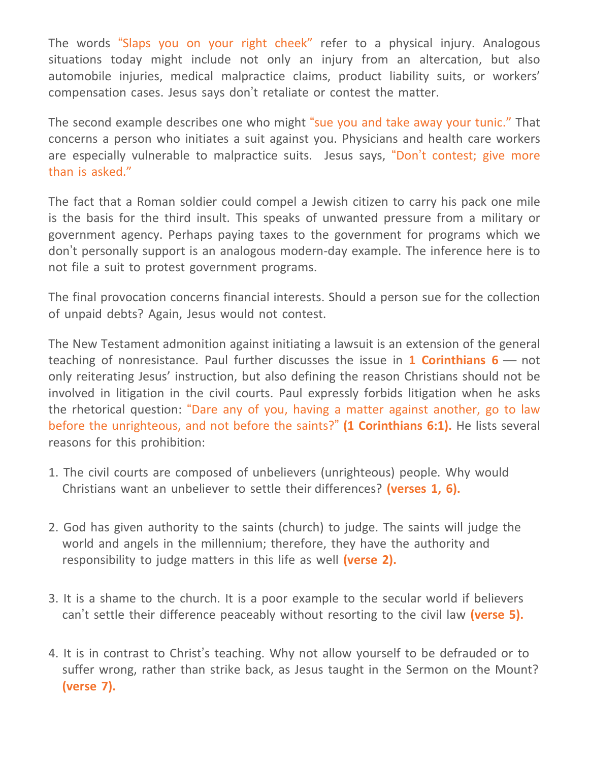The words "Slaps you on your right cheek" refer to a physical injury. Analogous situations today might include not only an injury from an altercation, but also automobile injuries, medical malpractice claims, product liability suits, or workers' compensation cases. Jesus says don't retaliate or contest the matter.

The second example describes one who might "sue you and take away your tunic." That concerns a person who initiates a suit against you. Physicians and health care workers are especially vulnerable to malpractice suits. Jesus says, "Don't contest; give more than is asked."

The fact that a Roman soldier could compel a Jewish citizen to carry his pack one mile is the basis for the third insult. This speaks of unwanted pressure from a military or government agency. Perhaps paying taxes to the government for programs which we don't personally support is an analogous modern-day example. The inference here is to not file a suit to protest government programs.

The final provocation concerns financial interests. Should a person sue for the collection of unpaid debts? Again, Jesus would not contest.

The New Testament admonition against initiating a lawsuit is an extension of the general teaching of nonresistance. Paul further discusses the issue in **1 Corinthians 6** — not only reiterating Jesus' instruction, but also defining the reason Christians should not be involved in litigation in the civil courts. Paul expressly forbids litigation when he asks the rhetorical question: "Dare any of you, having a matter against another, go to law before the unrighteous, and not before the saints?" **(1 Corinthians 6:1).** He lists several reasons for this prohibition:

- 1. The civil courts are composed of unbelievers (unrighteous) people. Why would Christians want an unbeliever to settle their differences? **(verses 1, 6).**
- 2. God has given authority to the saints (church) to judge. The saints will judge the world and angels in the millennium; therefore, they have the authority and responsibility to judge matters in this life as well **(verse 2).**
- 3. It is a shame to the church. It is a poor example to the secular world if believers can't settle their difference peaceably without resorting to the civil law **(verse 5).**
- 4. It is in contrast to Christ's teaching. Why not allow yourself to be defrauded or to suffer wrong, rather than strike back, as Jesus taught in the Sermon on the Mount? **(verse 7).**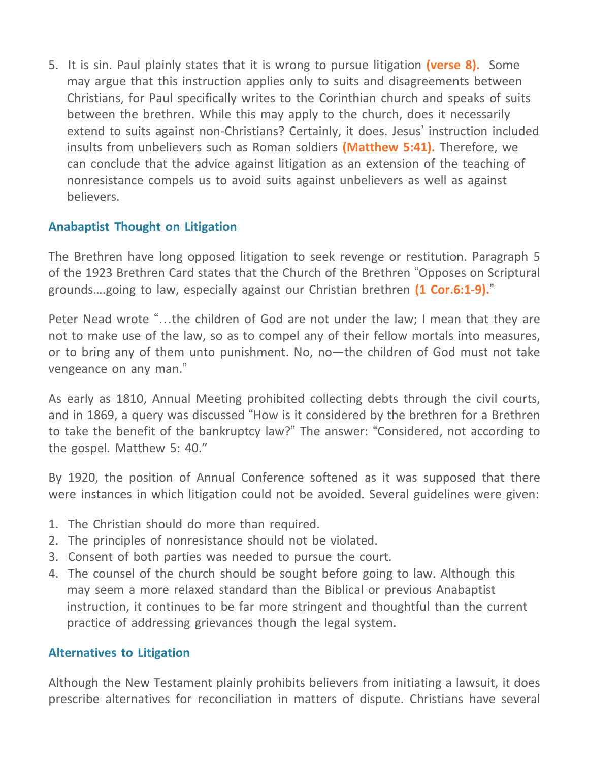5. It is sin. Paul plainly states that it is wrong to pursue litigation **(verse 8).** Some may argue that this instruction applies only to suits and disagreements between Christians, for Paul specifically writes to the Corinthian church and speaks of suits between the brethren. While this may apply to the church, does it necessarily extend to suits against non-Christians? Certainly, it does. Jesus' instruction included insults from unbelievers such as Roman soldiers **(Matthew 5:41).** Therefore, we can conclude that the advice against litigation as an extension of the teaching of nonresistance compels us to avoid suits against unbelievers as well as against believers.

## **Anabaptist Thought on Litigation**

The Brethren have long opposed litigation to seek revenge or restitution. Paragraph 5 of the 1923 Brethren Card states that the Church of the Brethren "Opposes on Scriptural grounds….going to law, especially against our Christian brethren **(1 Cor.6:1-9).**"

Peter Nead wrote "…the children of God are not under the law; I mean that they are not to make use of the law, so as to compel any of their fellow mortals into measures, or to bring any of them unto punishment. No, no—the children of God must not take vengeance on any man."

As early as 1810, Annual Meeting prohibited collecting debts through the civil courts, and in 1869, a query was discussed "How is it considered by the brethren for a Brethren to take the benefit of the bankruptcy law?" The answer: "Considered, not according to the gospel. Matthew 5: 40."

By 1920, the position of Annual Conference softened as it was supposed that there were instances in which litigation could not be avoided. Several guidelines were given:

- 1. The Christian should do more than required.
- 2. The principles of nonresistance should not be violated.
- 3. Consent of both parties was needed to pursue the court.
- 4. The counsel of the church should be sought before going to law. Although this may seem a more relaxed standard than the Biblical or previous Anabaptist instruction, it continues to be far more stringent and thoughtful than the current practice of addressing grievances though the legal system.

### **Alternatives to Litigation**

Although the New Testament plainly prohibits believers from initiating a lawsuit, it does prescribe alternatives for reconciliation in matters of dispute. Christians have several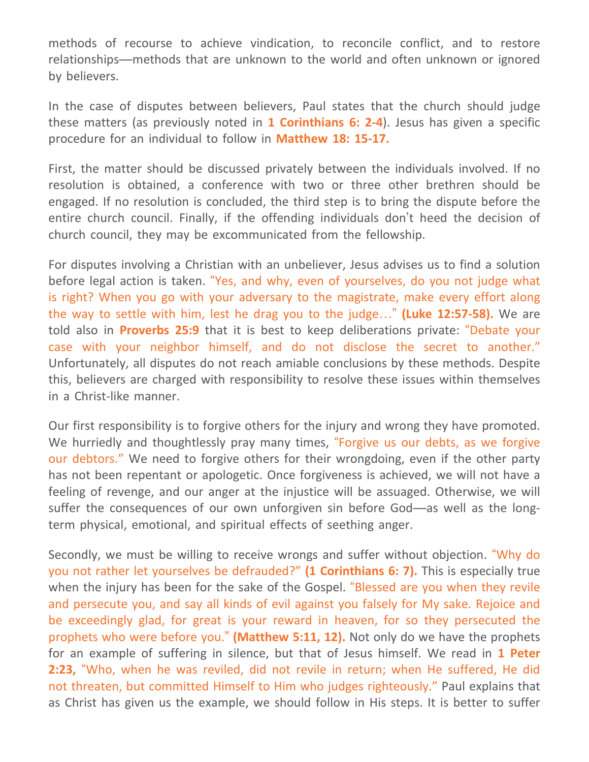methods of recourse to achieve vindication, to reconcile conflict, and to restore relationships—methods that are unknown to the world and often unknown or ignored by believers.

In the case of disputes between believers, Paul states that the church should judge these matters (as previously noted in **1 Corinthians 6: 2-4**). Jesus has given a specific procedure for an individual to follow in **Matthew 18: 15-17.**

First, the matter should be discussed privately between the individuals involved. If no resolution is obtained, a conference with two or three other brethren should be engaged. If no resolution is concluded, the third step is to bring the dispute before the entire church council. Finally, if the offending individuals don't heed the decision of church council, they may be excommunicated from the fellowship.

For disputes involving a Christian with an unbeliever, Jesus advises us to find a solution before legal action is taken. "Yes, and why, even of yourselves, do you not judge what is right? When you go with your adversary to the magistrate, make every effort along the way to settle with him, lest he drag you to the judge…" **(Luke 12:57-58).** We are told also in **Proverbs 25:9** that it is best to keep deliberations private: "Debate your case with your neighbor himself, and do not disclose the secret to another." Unfortunately, all disputes do not reach amiable conclusions by these methods. Despite this, believers are charged with responsibility to resolve these issues within themselves in a Christ-like manner.

Our first responsibility is to forgive others for the injury and wrong they have promoted. We hurriedly and thoughtlessly pray many times, "Forgive us our debts, as we forgive our debtors." We need to forgive others for their wrongdoing, even if the other party has not been repentant or apologetic. Once forgiveness is achieved, we will not have a feeling of revenge, and our anger at the injustice will be assuaged. Otherwise, we will suffer the consequences of our own unforgiven sin before God—as well as the longterm physical, emotional, and spiritual effects of seething anger.

Secondly, we must be willing to receive wrongs and suffer without objection. "Why do you not rather let yourselves be defrauded?" **(1 Corinthians 6: 7).** This is especially true when the injury has been for the sake of the Gospel. "Blessed are you when they revile and persecute you, and say all kinds of evil against you falsely for My sake. Rejoice and be exceedingly glad, for great is your reward in heaven, for so they persecuted the prophets who were before you." **(Matthew 5:11, 12).** Not only do we have the prophets for an example of suffering in silence, but that of Jesus himself. We read in **1 Peter 2:23,** "Who, when he was reviled, did not revile in return; when He suffered, He did not threaten, but committed Himself to Him who judges righteously." Paul explains that as Christ has given us the example, we should follow in His steps. It is better to suffer